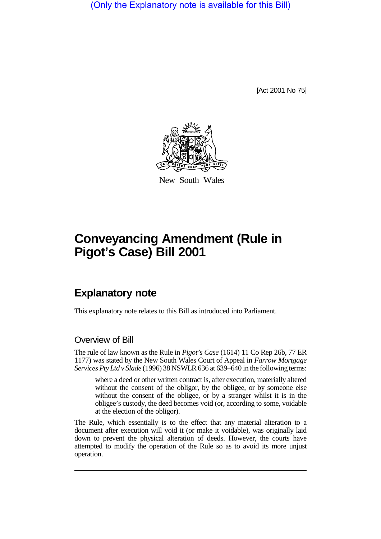(Only the Explanatory note is available for this Bill)

[Act 2001 No 75]



New South Wales

## **Conveyancing Amendment (Rule in Pigot's Case) Bill 2001**

## **Explanatory note**

This explanatory note relates to this Bill as introduced into Parliament.

## Overview of Bill

The rule of law known as the Rule in *Pigot's Case* (1614) 11 Co Rep 26b, 77 ER 1177) was stated by the New South Wales Court of Appeal in *Farrow Mortgage Services Pty Ltd v Slade* (1996) 38 NSWLR 636 at 639–640 in the following terms:

where a deed or other written contract is, after execution, materially altered without the consent of the obligor, by the obligee, or by someone else without the consent of the obligee, or by a stranger whilst it is in the obligee's custody, the deed becomes void (or, according to some, voidable at the election of the obligor).

The Rule, which essentially is to the effect that any material alteration to a document after execution will void it (or make it voidable), was originally laid down to prevent the physical alteration of deeds. However, the courts have attempted to modify the operation of the Rule so as to avoid its more unjust operation.